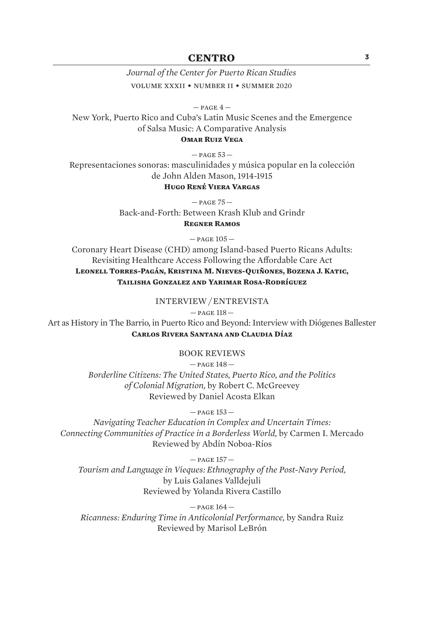*Journal of the Center for Puerto Rican Studies* volume xxxii • number ii • summer 2020

 $-$  page  $4-$ New York, Puerto Rico and Cuba's Latin Music Scenes and the Emergence of Salsa Music: A Comparative Analysis **Omar Ruiz Vega**

— page 53 — Representaciones sonoras: masculinidades y música popular en la colección de John Alden Mason, 1914-1915

### **Hugo René Viera Vargas**

— page 75 — Back-and-Forth: Between Krash Klub and Grindr **Regner Ramos**

— page 105 —

Coronary Heart Disease (CHD) among Island-based Puerto Ricans Adults: Revisiting Healthcare Access Following the Affordable Care Act **Leonell Torres-Pagán, Kristina M. Nieves-Quiñones, Bozena J. Katic, Tailisha Gonzalez and Yarimar Rosa-Rodríguez**

INTERVIEW / ENTREVISTA

— page 118 —

Art as History in The Barrio, in Puerto Rico and Beyond: Interview with Diógenes Ballester **Carlos Rivera Santana and Claudia Díaz**

## BOOK REVIEWS

— page 148 —

*Borderline Citizens: The United States, Puerto Rico, and the Politics of Colonial Migration,* by Robert C. McGreevey Reviewed by Daniel Acosta Elkan

— page 153 —

*Navigating Teacher Education in Complex and Uncertain Times: Connecting Communities of Practice in a Borderless World,* by Carmen I. Mercado Reviewed by Abdín Noboa-Ríos

— page 157 — *Tourism and Language in Vieques: Ethnography of the Post-Navy Period,*  by Luis Galanes Valldejuli Reviewed by Yolanda Rivera Castillo

— page 164 — *Ricanness: Enduring Time in Anticolonial Performance,* by Sandra Ruiz Reviewed by Marisol LeBrón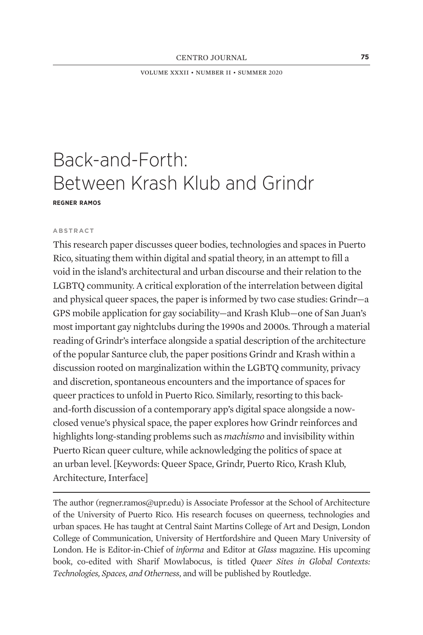volume xxxii • number ii • summer 2020

# Back-and-Forth: Between Krash Klub and Grindr **regner ramos**

### **abstract**

This research paper discusses queer bodies, technologies and spaces in Puerto Rico, situating them within digital and spatial theory, in an attempt to fill a void in the island's architectural and urban discourse and their relation to the LGBTQ community. A critical exploration of the interrelation between digital and physical queer spaces, the paper is informed by two case studies: Grindr—a GPS mobile application for gay sociability—and Krash Klub—one of San Juan's most important gay nightclubs during the 1990s and 2000s. Through a material reading of Grindr's interface alongside a spatial description of the architecture of the popular Santurce club, the paper positions Grindr and Krash within a discussion rooted on marginalization within the LGBTQ community, privacy and discretion, spontaneous encounters and the importance of spaces for queer practices to unfold in Puerto Rico. Similarly, resorting to this backand-forth discussion of a contemporary app's digital space alongside a nowclosed venue's physical space, the paper explores how Grindr reinforces and highlights long-standing problems such as *machismo* and invisibility within Puerto Rican queer culture, while acknowledging the politics of space at an urban level. [Keywords: Queer Space, Grindr, Puerto Rico, Krash Klub, Architecture, Interface]

The author (regner.ramos@upr.edu) is Associate Professor at the School of Architecture of the University of Puerto Rico. His research focuses on queerness, technologies and urban spaces. He has taught at Central Saint Martins College of Art and Design, London College of Communication, University of Hertfordshire and Queen Mary University of London. He is Editor-in-Chief of *informa* and Editor at *Glass* magazine. His upcoming book, co-edited with Sharif Mowlabocus, is titled *Queer Sites in Global Contexts: Technologies, Spaces, and Otherness*, and will be published by Routledge.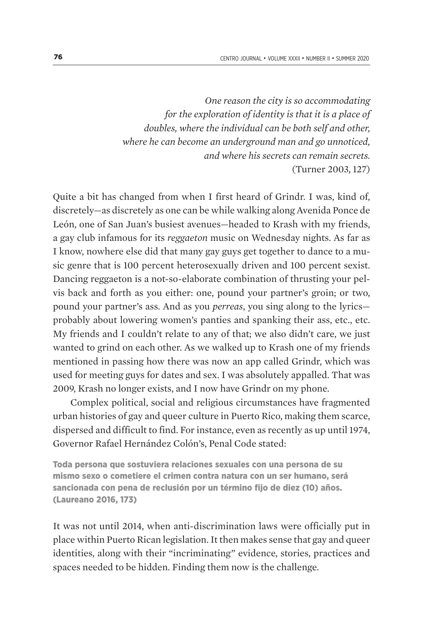*One reason the city is so accommodating for the exploration of identity is that it is a place of doubles, where the individual can be both self and other, where he can become an underground man and go unnoticed, and where his secrets can remain secrets.*  (Turner 2003, 127)

Quite a bit has changed from when I first heard of Grindr. I was, kind of, discretely—as discretely as one can be while walking along Avenida Ponce de León, one of San Juan's busiest avenues—headed to Krash with my friends, a gay club infamous for its *reggaeton* music on Wednesday nights. As far as I know, nowhere else did that many gay guys get together to dance to a music genre that is 100 percent heterosexually driven and 100 percent sexist. Dancing reggaeton is a not-so-elaborate combination of thrusting your pelvis back and forth as you either: one, pound your partner's groin; or two, pound your partner's ass. And as you *perreas*, you sing along to the lyrics probably about lowering women's panties and spanking their ass, etc., etc. My friends and I couldn't relate to any of that; we also didn't care, we just wanted to grind on each other. As we walked up to Krash one of my friends mentioned in passing how there was now an app called Grindr, which was used for meeting guys for dates and sex. I was absolutely appalled. That was 2009, Krash no longer exists, and I now have Grindr on my phone.

Complex political, social and religious circumstances have fragmented urban histories of gay and queer culture in Puerto Rico, making them scarce, dispersed and difficult to find. For instance, even as recently as up until 1974, Governor Rafael Hernández Colón's, Penal Code stated:

Toda persona que sostuviera relaciones sexuales con una persona de su mismo sexo o cometiere el crimen contra natura con un ser humano, será sancionada con pena de reclusión por un término fijo de diez (10) años. (Laureano 2016, 173)

It was not until 2014, when anti-discrimination laws were officially put in place within Puerto Rican legislation. It then makes sense that gay and queer identities, along with their "incriminating" evidence, stories, practices and spaces needed to be hidden. Finding them now is the challenge.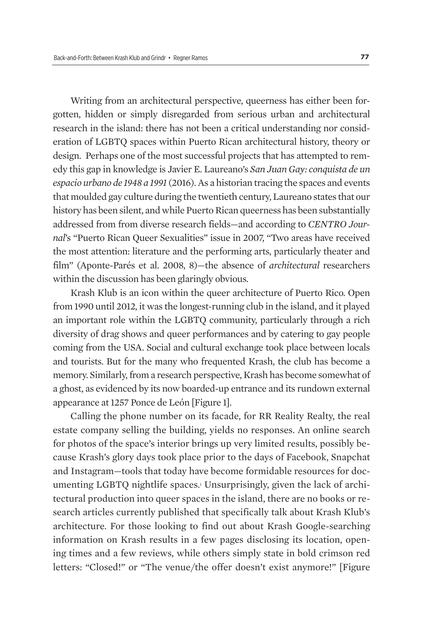Writing from an architectural perspective, queerness has either been forgotten, hidden or simply disregarded from serious urban and architectural research in the island: there has not been a critical understanding nor consideration of LGBTQ spaces within Puerto Rican architectural history, theory or design. Perhaps one of the most successful projects that has attempted to remedy this gap in knowledge is Javier E. Laureano's *San Juan Gay: conquista de un espacio urbano de 1948 a 1991* (2016)*.* As a historian tracing the spaces and events that moulded gay culture during the twentieth century, Laureano states that our history has been silent, and while Puerto Rican queerness has been substantially addressed from from diverse research fields—and according to *CENTRO Journal*'s "Puerto Rican Queer Sexualities" issue in 2007, "Two areas have received the most attention: literature and the performing arts, particularly theater and film" (Aponte-Parés et al. 2008, 8)—the absence of *architectural* researchers within the discussion has been glaringly obvious.

Krash Klub is an icon within the queer architecture of Puerto Rico. Open from 1990 until 2012, it was the longest-running club in the island, and it played an important role within the LGBTQ community, particularly through a rich diversity of drag shows and queer performances and by catering to gay people coming from the USA. Social and cultural exchange took place between locals and tourists. But for the many who frequented Krash, the club has become a memory. Similarly, from a research perspective, Krash has become somewhat of a ghost, as evidenced by its now boarded-up entrance and its rundown external appearance at 1257 Ponce de León [Figure 1].

Calling the phone number on its facade, for RR Reality Realty, the real estate company selling the building, yields no responses. An online search for photos of the space's interior brings up very limited results, possibly because Krash's glory days took place prior to the days of Facebook, Snapchat and Instagram—tools that today have become formidable resources for documenting LGBTQ nightlife spaces.<sup>1</sup> Unsurprisingly, given the lack of architectural production into queer spaces in the island, there are no books or research articles currently published that specifically talk about Krash Klub's architecture. For those looking to find out about Krash Google-searching information on Krash results in a few pages disclosing its location, opening times and a few reviews, while others simply state in bold crimson red letters: "Closed!" or "The venue/the offer doesn't exist anymore!" [Figure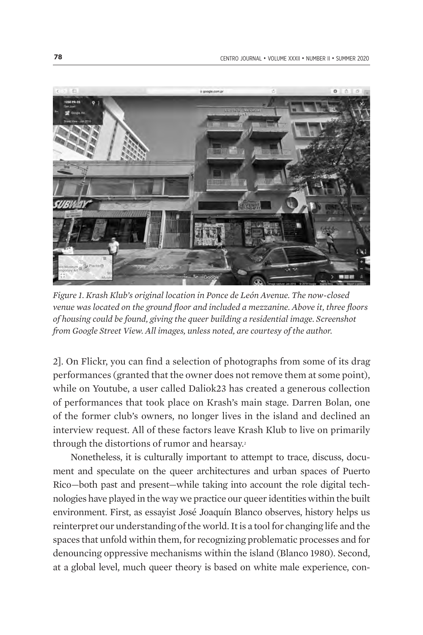

*Figure 1. Krash Klub's original location in Ponce de León Avenue. The now-closed venue was located on the ground floor and included a mezzanine. Above it, three floors of housing could be found, giving the queer building a residential image. Screenshot from Google Street View. All images, unless noted, are courtesy of the author.*

2]. On Flickr, you can find a selection of photographs from some of its drag performances (granted that the owner does not remove them at some point), while on Youtube, a user called Daliok23 has created a generous collection of performances that took place on Krash's main stage. Darren Bolan, one of the former club's owners, no longer lives in the island and declined an interview request. All of these factors leave Krash Klub to live on primarily through the distortions of rumor and hearsay.<sup>2</sup>

Nonetheless, it is culturally important to attempt to trace, discuss, document and speculate on the queer architectures and urban spaces of Puerto Rico—both past and present—while taking into account the role digital technologies have played in the way we practice our queer identities within the built environment. First, as essayist José Joaquín Blanco observes, history helps us reinterpret our understanding of the world. It is a tool for changing life and the spaces that unfold within them, for recognizing problematic processes and for denouncing oppressive mechanisms within the island (Blanco 1980). Second, at a global level, much queer theory is based on white male experience, con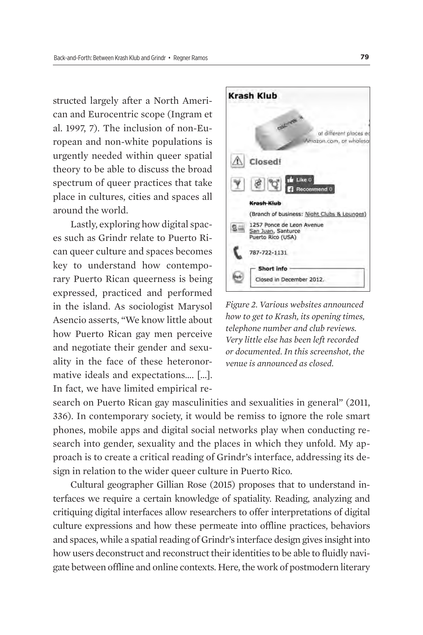structed largely after a North American and Eurocentric scope (Ingram et al. 1997, 7). The inclusion of non-European and non-white populations is urgently needed within queer spatial theory to be able to discuss the broad spectrum of queer practices that take place in cultures, cities and spaces all around the world.

Lastly, exploring how digital spaces such as Grindr relate to Puerto Rican queer culture and spaces becomes key to understand how contemporary Puerto Rican queerness is being expressed, practiced and performed in the island. As sociologist Marysol Asencio asserts, "We know little about how Puerto Rican gay men perceive and negotiate their gender and sexuality in the face of these heteronormative ideals and expectations…. […]. In fact, we have limited empirical re-



*Figure 2. Various websites announced how to get to Krash, its opening times, telephone number and club reviews. Very little else has been left recorded or documented. In this screenshot, the venue is announced as closed.*

search on Puerto Rican gay masculinities and sexualities in general" (2011, 336). In contemporary society, it would be remiss to ignore the role smart phones, mobile apps and digital social networks play when conducting research into gender, sexuality and the places in which they unfold. My approach is to create a critical reading of Grindr's interface, addressing its design in relation to the wider queer culture in Puerto Rico.

Cultural geographer Gillian Rose (2015) proposes that to understand interfaces we require a certain knowledge of spatiality. Reading, analyzing and critiquing digital interfaces allow researchers to offer interpretations of digital culture expressions and how these permeate into offline practices, behaviors and spaces, while a spatial reading of Grindr's interface design gives insight into how users deconstruct and reconstruct their identities to be able to fluidly navigate between offline and online contexts. Here, the work of postmodern literary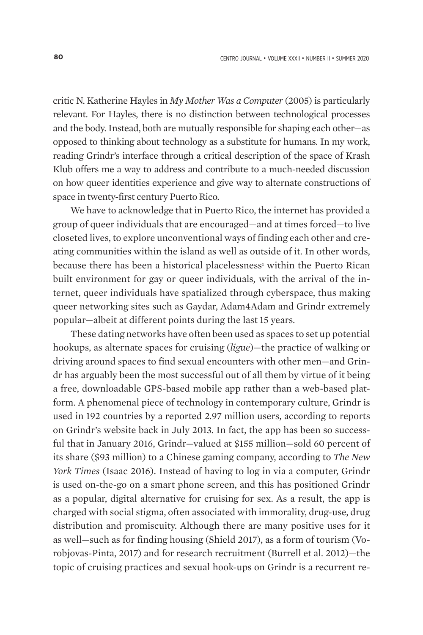critic N. Katherine Hayles in *My Mother Was a Computer* (2005) is particularly relevant. For Hayles, there is no distinction between technological processes and the body. Instead, both are mutually responsible for shaping each other—as opposed to thinking about technology as a substitute for humans. In my work, reading Grindr's interface through a critical description of the space of Krash Klub offers me a way to address and contribute to a much-needed discussion on how queer identities experience and give way to alternate constructions of space in twenty-first century Puerto Rico.

We have to acknowledge that in Puerto Rico, the internet has provided a group of queer individuals that are encouraged—and at times forced—to live closeted lives, to explore unconventional ways of finding each other and creating communities within the island as well as outside of it. In other words, because there has been a historical placelessness<sup>3</sup> within the Puerto Rican built environment for gay or queer individuals, with the arrival of the internet, queer individuals have spatialized through cyberspace, thus making queer networking sites such as Gaydar, Adam4Adam and Grindr extremely popular—albeit at different points during the last 15 years.

These dating networks have often been used as spaces to set up potential hookups, as alternate spaces for cruising (*ligue*)—the practice of walking or driving around spaces to find sexual encounters with other men—and Grindr has arguably been the most successful out of all them by virtue of it being a free, downloadable GPS-based mobile app rather than a web-based platform. A phenomenal piece of technology in contemporary culture, Grindr is used in 192 countries by a reported 2.97 million users, according to reports on Grindr's website back in July 2013. In fact, the app has been so successful that in January 2016, Grindr—valued at \$155 million—sold 60 percent of its share (\$93 million) to a Chinese gaming company, according to *The New York Times* (Isaac 2016). Instead of having to log in via a computer, Grindr is used on-the-go on a smart phone screen, and this has positioned Grindr as a popular, digital alternative for cruising for sex. As a result, the app is charged with social stigma, often associated with immorality, drug-use, drug distribution and promiscuity. Although there are many positive uses for it as well—such as for finding housing (Shield 2017), as a form of tourism (Vorobjovas-Pinta, 2017) and for research recruitment (Burrell et al. 2012)—the topic of cruising practices and sexual hook-ups on Grindr is a recurrent re-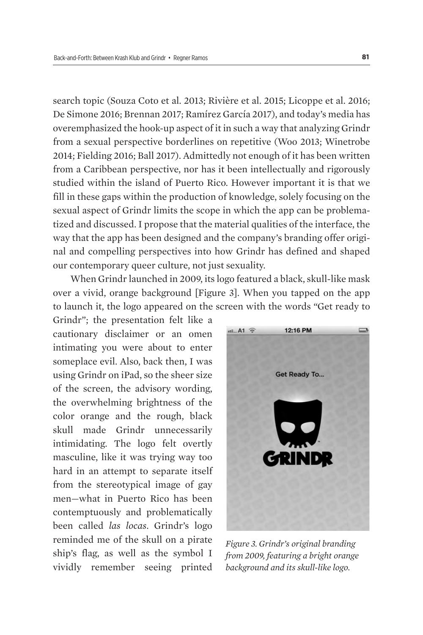search topic (Souza Coto et al. 2013; Rivière et al. 2015; Licoppe et al. 2016; De Simone 2016; Brennan 2017; Ramírez García 2017), and today's media has overemphasized the hook-up aspect of it in such a way that analyzing Grindr from a sexual perspective borderlines on repetitive (Woo 2013; Winetrobe 2014; Fielding 2016; Ball 2017). Admittedly not enough of it has been written from a Caribbean perspective, nor has it been intellectually and rigorously studied within the island of Puerto Rico. However important it is that we fill in these gaps within the production of knowledge, solely focusing on the sexual aspect of Grindr limits the scope in which the app can be problematized and discussed. I propose that the material qualities of the interface, the way that the app has been designed and the company's branding offer original and compelling perspectives into how Grindr has defined and shaped our contemporary queer culture, not just sexuality.

When Grindr launched in 2009, its logo featured a black, skull-like mask over a vivid, orange background [Figure 3]. When you tapped on the app to launch it, the logo appeared on the screen with the words "Get ready to

Grindr"; the presentation felt like a cautionary disclaimer or an omen intimating you were about to enter someplace evil. Also, back then, I was using Grindr on iPad, so the sheer size of the screen, the advisory wording, the overwhelming brightness of the color orange and the rough, black skull made Grindr unnecessarily intimidating. The logo felt overtly masculine, like it was trying way too hard in an attempt to separate itself from the stereotypical image of gay men—what in Puerto Rico has been contemptuously and problematically been called *las locas*. Grindr's logo reminded me of the skull on a pirate ship's flag, as well as the symbol I vividly remember seeing printed



*Figure 3. Grindr's original branding from 2009, featuring a bright orange background and its skull-like logo.*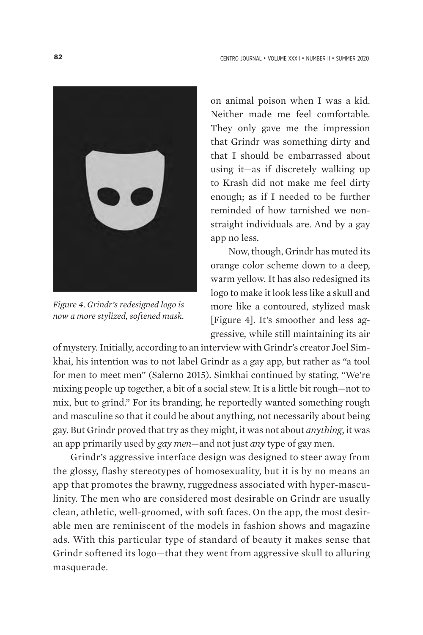

*Figure 4. Grindr's redesigned logo is now a more stylized, softened mask.*

on animal poison when I was a kid. Neither made me feel comfortable. They only gave me the impression that Grindr was something dirty and that I should be embarrassed about using it—as if discretely walking up to Krash did not make me feel dirty enough; as if I needed to be further reminded of how tarnished we nonstraight individuals are. And by a gay app no less.

Now, though, Grindr has muted its orange color scheme down to a deep, warm yellow. It has also redesigned its logo to make it look less like a skull and more like a contoured, stylized mask [Figure 4]. It's smoother and less aggressive, while still maintaining its air

of mystery. Initially, according to an interview with Grindr's creator Joel Simkhai, his intention was to not label Grindr as a gay app, but rather as "a tool for men to meet men" (Salerno 2015). Simkhai continued by stating, "We're mixing people up together, a bit of a social stew. It is a little bit rough—not to mix, but to grind." For its branding, he reportedly wanted something rough and masculine so that it could be about anything, not necessarily about being gay. But Grindr proved that try as they might, it was not about *anything*, it was an app primarily used by *gay men*—and not just *any* type of gay men.

Grindr's aggressive interface design was designed to steer away from the glossy, flashy stereotypes of homosexuality, but it is by no means an app that promotes the brawny, ruggedness associated with hyper-masculinity. The men who are considered most desirable on Grindr are usually clean, athletic, well-groomed, with soft faces. On the app, the most desirable men are reminiscent of the models in fashion shows and magazine ads. With this particular type of standard of beauty it makes sense that Grindr softened its logo—that they went from aggressive skull to alluring masquerade.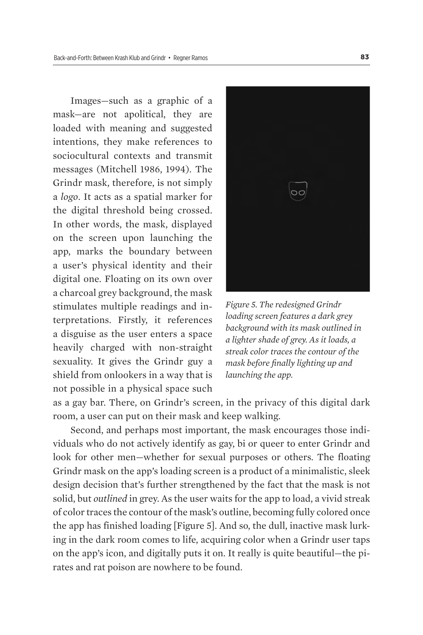Images—such as a graphic of a mask—are not apolitical, they are loaded with meaning and suggested intentions, they make references to sociocultural contexts and transmit messages (Mitchell 1986, 1994). The Grindr mask, therefore, is not simply a *logo*. It acts as a spatial marker for the digital threshold being crossed. In other words, the mask, displayed on the screen upon launching the app, marks the boundary between a user's physical identity and their digital one. Floating on its own over a charcoal grey background, the mask stimulates multiple readings and interpretations. Firstly, it references a disguise as the user enters a space heavily charged with non-straight sexuality. It gives the Grindr guy a shield from onlookers in a way that is not possible in a physical space such



*Figure 5. The redesigned Grindr loading screen features a dark grey background with its mask outlined in a lighter shade of grey. As it loads, a streak color traces the contour of the mask before finally lighting up and launching the app.*

as a gay bar. There, on Grindr's screen, in the privacy of this digital dark room, a user can put on their mask and keep walking.

Second, and perhaps most important, the mask encourages those individuals who do not actively identify as gay, bi or queer to enter Grindr and look for other men—whether for sexual purposes or others. The floating Grindr mask on the app's loading screen is a product of a minimalistic, sleek design decision that's further strengthened by the fact that the mask is not solid, but *outlined* in grey. As the user waits for the app to load, a vivid streak of color traces the contour of the mask's outline, becoming fully colored once the app has finished loading [Figure 5]. And so, the dull, inactive mask lurking in the dark room comes to life, acquiring color when a Grindr user taps on the app's icon, and digitally puts it on. It really is quite beautiful—the pirates and rat poison are nowhere to be found.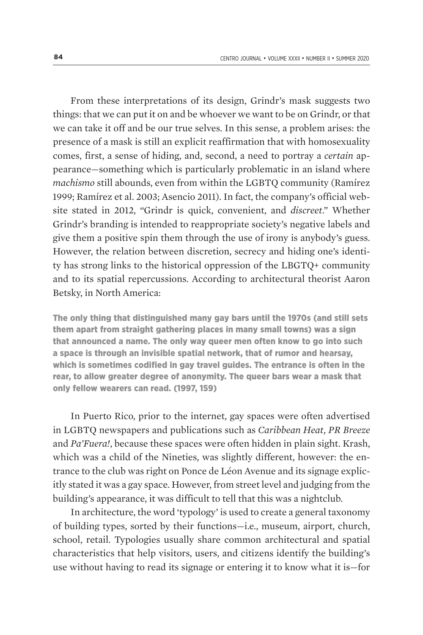From these interpretations of its design, Grindr's mask suggests two things: that we can put it on and be whoever we want to be on Grindr, or that we can take it off and be our true selves. In this sense, a problem arises: the presence of a mask is still an explicit reaffirmation that with homosexuality comes, first, a sense of hiding, and, second, a need to portray a *certain* appearance—something which is particularly problematic in an island where *machismo* still abounds, even from within the LGBTQ community (Ramírez 1999; Ramírez et al. 2003; Asencio 2011). In fact, the company's official website stated in 2012, "Grindr is quick, convenient, and *discreet*." Whether Grindr's branding is intended to reappropriate society's negative labels and give them a positive spin them through the use of irony is anybody's guess. However, the relation between discretion, secrecy and hiding one's identity has strong links to the historical oppression of the LBGTQ+ community and to its spatial repercussions. According to architectural theorist Aaron Betsky, in North America:

The only thing that distinguished many gay bars until the 1970s (and still sets them apart from straight gathering places in many small towns) was a sign that announced a name. The only way queer men often know to go into such a space is through an invisible spatial network, that of rumor and hearsay, which is sometimes codified in gay travel guides. The entrance is often in the rear, to allow greater degree of anonymity. The queer bars wear a mask that only fellow wearers can read. (1997, 159)

In Puerto Rico, prior to the internet, gay spaces were often advertised in LGBTQ newspapers and publications such as *Caribbean Heat*, *PR Breeze* and *Pa'Fuera!*, because these spaces were often hidden in plain sight. Krash, which was a child of the Nineties, was slightly different, however: the entrance to the club was right on Ponce de Léon Avenue and its signage explicitly stated it was a gay space. However, from street level and judging from the building's appearance, it was difficult to tell that this was a nightclub.

In architecture, the word 'typology' is used to create a general taxonomy of building types, sorted by their functions—i.e., museum, airport, church, school, retail. Typologies usually share common architectural and spatial characteristics that help visitors, users, and citizens identify the building's use without having to read its signage or entering it to know what it is—for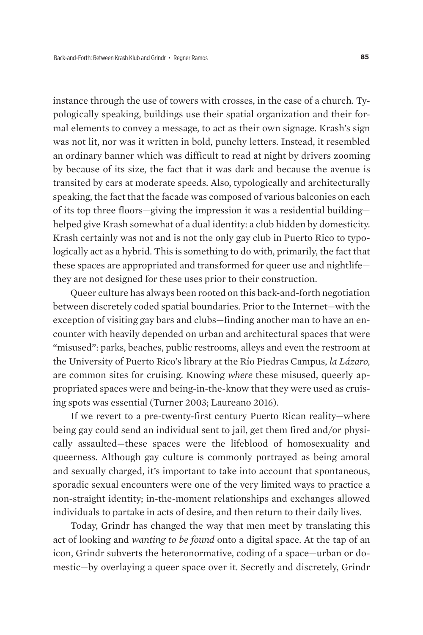instance through the use of towers with crosses, in the case of a church. Typologically speaking, buildings use their spatial organization and their formal elements to convey a message, to act as their own signage. Krash's sign was not lit, nor was it written in bold, punchy letters. Instead, it resembled an ordinary banner which was difficult to read at night by drivers zooming by because of its size, the fact that it was dark and because the avenue is transited by cars at moderate speeds. Also, typologically and architecturally speaking, the fact that the facade was composed of various balconies on each of its top three floors—giving the impression it was a residential building helped give Krash somewhat of a dual identity: a club hidden by domesticity. Krash certainly was not and is not the only gay club in Puerto Rico to typologically act as a hybrid. This is something to do with, primarily, the fact that these spaces are appropriated and transformed for queer use and nightlife they are not designed for these uses prior to their construction.

Queer culture has always been rooted on this back-and-forth negotiation between discretely coded spatial boundaries. Prior to the Internet—with the exception of visiting gay bars and clubs—finding another man to have an encounter with heavily depended on urban and architectural spaces that were "misused": parks, beaches, public restrooms, alleys and even the restroom at the University of Puerto Rico's library at the Río Piedras Campus, *la Lázaro,*  are common sites for cruising. Knowing *where* these misused, queerly appropriated spaces were and being-in-the-know that they were used as cruising spots was essential (Turner 2003; Laureano 2016).

If we revert to a pre-twenty-first century Puerto Rican reality—where being gay could send an individual sent to jail, get them fired and/or physically assaulted—these spaces were the lifeblood of homosexuality and queerness. Although gay culture is commonly portrayed as being amoral and sexually charged, it's important to take into account that spontaneous, sporadic sexual encounters were one of the very limited ways to practice a non-straight identity; in-the-moment relationships and exchanges allowed individuals to partake in acts of desire, and then return to their daily lives.

Today, Grindr has changed the way that men meet by translating this act of looking and *wanting to be found* onto a digital space. At the tap of an icon, Grindr subverts the heteronormative, coding of a space—urban or domestic—by overlaying a queer space over it. Secretly and discretely, Grindr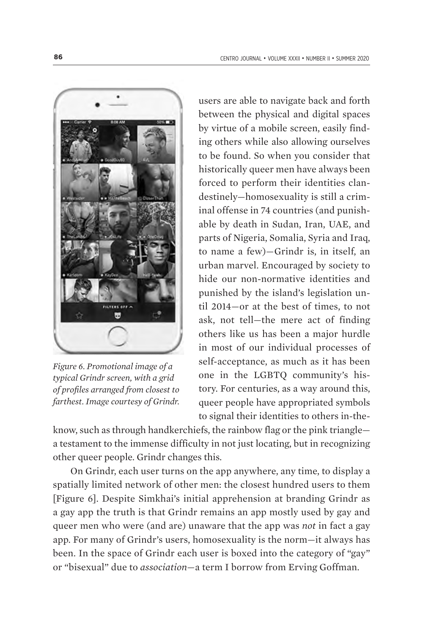

*Figure 6. Promotional image of a typical Grindr screen, with a grid of profiles arranged from closest to farthest. Image courtesy of Grindr.*

users are able to navigate back and forth between the physical and digital spaces by virtue of a mobile screen, easily finding others while also allowing ourselves to be found. So when you consider that historically queer men have always been forced to perform their identities clandestinely—homosexuality is still a criminal offense in 74 countries (and punishable by death in Sudan, Iran, UAE, and parts of Nigeria, Somalia, Syria and Iraq, to name a few)—Grindr is, in itself, an urban marvel. Encouraged by society to hide our non-normative identities and punished by the island's legislation until 2014—or at the best of times, to not ask, not tell—the mere act of finding others like us has been a major hurdle in most of our individual processes of self-acceptance, as much as it has been one in the LGBTQ community's history. For centuries, as a way around this, queer people have appropriated symbols to signal their identities to others in-the-

know, such as through handkerchiefs, the rainbow flag or the pink triangle a testament to the immense difficulty in not just locating, but in recognizing other queer people. Grindr changes this.

On Grindr, each user turns on the app anywhere, any time, to display a spatially limited network of other men: the closest hundred users to them [Figure 6]. Despite Simkhai's initial apprehension at branding Grindr as a gay app the truth is that Grindr remains an app mostly used by gay and queer men who were (and are) unaware that the app was *not* in fact a gay app. For many of Grindr's users, homosexuality is the norm—it always has been. In the space of Grindr each user is boxed into the category of "gay" or "bisexual" due to *association—*a term I borrow from Erving Goffman.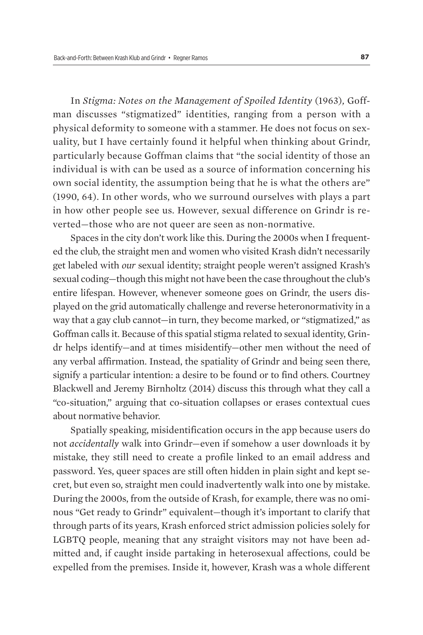In *Stigma: Notes on the Management of Spoiled Identity* (1963)*,* Goffman discusses "stigmatized" identities, ranging from a person with a physical deformity to someone with a stammer. He does not focus on sexuality, but I have certainly found it helpful when thinking about Grindr, particularly because Goffman claims that "the social identity of those an individual is with can be used as a source of information concerning his own social identity, the assumption being that he is what the others are" (1990, 64). In other words, who we surround ourselves with plays a part in how other people see us. However, sexual difference on Grindr is reverted—those who are not queer are seen as non-normative.

Spaces in the city don't work like this. During the 2000s when I frequented the club, the straight men and women who visited Krash didn't necessarily get labeled with *our* sexual identity; straight people weren't assigned Krash's sexual coding—though this might not have been the case throughout the club's entire lifespan. However, whenever someone goes on Grindr, the users displayed on the grid automatically challenge and reverse heteronormativity in a way that a gay club cannot—in turn, they become marked, or "stigmatized," as Goffman calls it. Because of this spatial stigma related to sexual identity, Grindr helps identify—and at times misidentify—other men without the need of any verbal affirmation. Instead, the spatiality of Grindr and being seen there, signify a particular intention: a desire to be found or to find others. Courtney Blackwell and Jeremy Birnholtz (2014) discuss this through what they call a "co-situation," arguing that co-situation collapses or erases contextual cues about normative behavior.

Spatially speaking, misidentification occurs in the app because users do not *accidentally* walk into Grindr—even if somehow a user downloads it by mistake, they still need to create a profile linked to an email address and password. Yes, queer spaces are still often hidden in plain sight and kept secret, but even so, straight men could inadvertently walk into one by mistake. During the 2000s, from the outside of Krash, for example, there was no ominous "Get ready to Grindr" equivalent—though it's important to clarify that through parts of its years, Krash enforced strict admission policies solely for LGBTQ people, meaning that any straight visitors may not have been admitted and, if caught inside partaking in heterosexual affections, could be expelled from the premises. Inside it, however, Krash was a whole different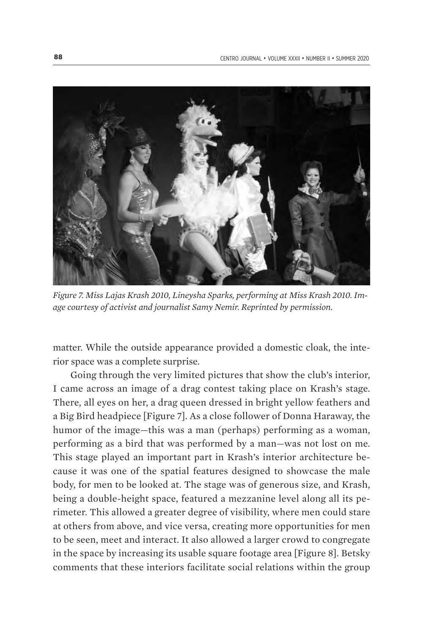

*Figure 7. Miss Lajas Krash 2010, Lineysha Sparks, performing at Miss Krash 2010. Image courtesy of activist and journalist Samy Nemir. Reprinted by permission.*

matter. While the outside appearance provided a domestic cloak, the interior space was a complete surprise.

Going through the very limited pictures that show the club's interior, I came across an image of a drag contest taking place on Krash's stage. There, all eyes on her, a drag queen dressed in bright yellow feathers and a Big Bird headpiece [Figure 7]. As a close follower of Donna Haraway, the humor of the image—this was a man (perhaps) performing as a woman, performing as a bird that was performed by a man—was not lost on me. This stage played an important part in Krash's interior architecture because it was one of the spatial features designed to showcase the male body, for men to be looked at. The stage was of generous size, and Krash, being a double-height space, featured a mezzanine level along all its perimeter. This allowed a greater degree of visibility, where men could stare at others from above, and vice versa, creating more opportunities for men to be seen, meet and interact. It also allowed a larger crowd to congregate in the space by increasing its usable square footage area [Figure 8]. Betsky comments that these interiors facilitate social relations within the group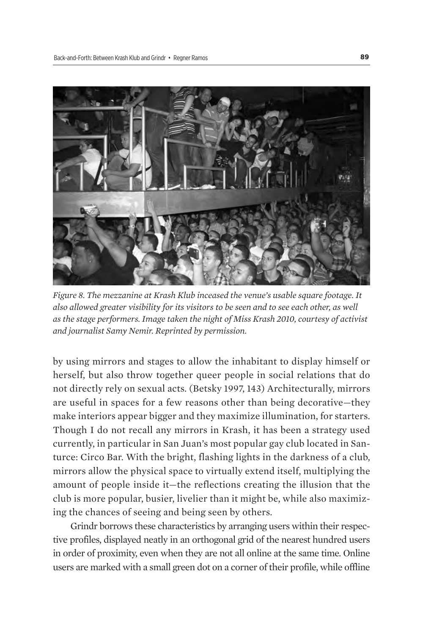

*Figure 8. The mezzanine at Krash Klub inceased the venue's usable square footage. It also allowed greater visibility for its visitors to be seen and to see each other, as well as the stage performers. Image taken the night of Miss Krash 2010, courtesy of activist and journalist Samy Nemir. Reprinted by permission.*

by using mirrors and stages to allow the inhabitant to display himself or herself, but also throw together queer people in social relations that do not directly rely on sexual acts. (Betsky 1997, 143) Architecturally, mirrors are useful in spaces for a few reasons other than being decorative—they make interiors appear bigger and they maximize illumination, for starters. Though I do not recall any mirrors in Krash, it has been a strategy used currently, in particular in San Juan's most popular gay club located in Santurce: Circo Bar. With the bright, flashing lights in the darkness of a club, mirrors allow the physical space to virtually extend itself, multiplying the amount of people inside it—the reflections creating the illusion that the club is more popular, busier, livelier than it might be, while also maximizing the chances of seeing and being seen by others.

Grindr borrows these characteristics by arranging users within their respective profiles, displayed neatly in an orthogonal grid of the nearest hundred users in order of proximity, even when they are not all online at the same time. Online users are marked with a small green dot on a corner of their profile, while offline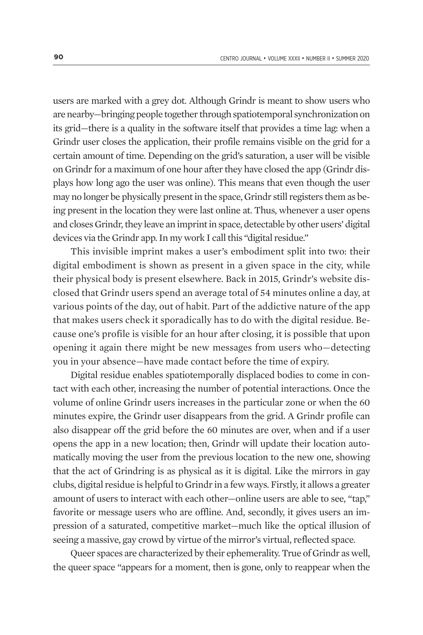users are marked with a grey dot. Although Grindr is meant to show users who are nearby—bringing people together through spatiotemporal synchronization on its grid—there is a quality in the software itself that provides a time lag: when a Grindr user closes the application, their profile remains visible on the grid for a certain amount of time. Depending on the grid's saturation, a user will be visible on Grindr for a maximum of one hour after they have closed the app (Grindr displays how long ago the user was online). This means that even though the user may no longer be physically present in the space, Grindr still registers them as being present in the location they were last online at. Thus, whenever a user opens and closes Grindr, they leave an imprint in space, detectable by other users' digital devices via the Grindr app. In my work I call this "digital residue."

This invisible imprint makes a user's embodiment split into two: their digital embodiment is shown as present in a given space in the city, while their physical body is present elsewhere. Back in 2015, Grindr's website disclosed that Grindr users spend an average total of 54 minutes online a day, at various points of the day, out of habit. Part of the addictive nature of the app that makes users check it sporadically has to do with the digital residue. Because one's profile is visible for an hour after closing, it is possible that upon opening it again there might be new messages from users who—detecting you in your absence—have made contact before the time of expiry.

Digital residue enables spatiotemporally displaced bodies to come in contact with each other, increasing the number of potential interactions. Once the volume of online Grindr users increases in the particular zone or when the 60 minutes expire, the Grindr user disappears from the grid. A Grindr profile can also disappear off the grid before the 60 minutes are over, when and if a user opens the app in a new location; then, Grindr will update their location automatically moving the user from the previous location to the new one, showing that the act of Grindring is as physical as it is digital. Like the mirrors in gay clubs, digital residue is helpful to Grindr in a few ways. Firstly, it allows a greater amount of users to interact with each other—online users are able to see, "tap," favorite or message users who are offline. And, secondly, it gives users an impression of a saturated, competitive market—much like the optical illusion of seeing a massive, gay crowd by virtue of the mirror's virtual, reflected space.

Queer spaces are characterized by their ephemerality. True of Grindr as well, the queer space "appears for a moment, then is gone, only to reappear when the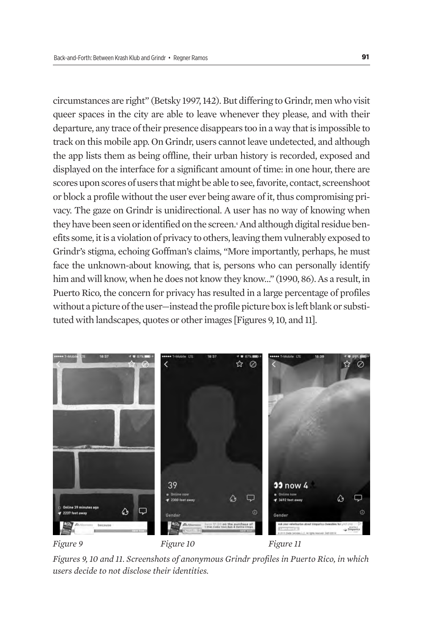circumstances are right" (Betsky 1997, 142). But differing to Grindr, men who visit queer spaces in the city are able to leave whenever they please, and with their departure, any trace of their presence disappears too in a way that is impossible to track on this mobile app. On Grindr, users cannot leave undetected, and although the app lists them as being offline, their urban history is recorded, exposed and displayed on the interface for a significant amount of time: in one hour, there are scores upon scores of users that might be able to see, favorite, contact, screenshoot or block a profile without the user ever being aware of it, thus compromising privacy. The gaze on Grindr is unidirectional. A user has no way of knowing when they have been seen or identified on the screen.<sup>4</sup> And although digital residue benefits some, it is a violation of privacy to others, leaving them vulnerably exposed to Grindr's stigma, echoing Goffman's claims, "More importantly, perhaps, he must face the unknown-about knowing, that is, persons who can personally identify him and will know, when he does not know they know..." (1990, 86). As a result, in Puerto Rico, the concern for privacy has resulted in a large percentage of profiles without a picture of the user—instead the profile picture box is left blank or substituted with landscapes, quotes or other images [Figures 9, 10, and 11].



*Figures 9, 10 and 11. Screenshots of anonymous Grindr profiles in Puerto Rico, in which users decide to not disclose their identities.*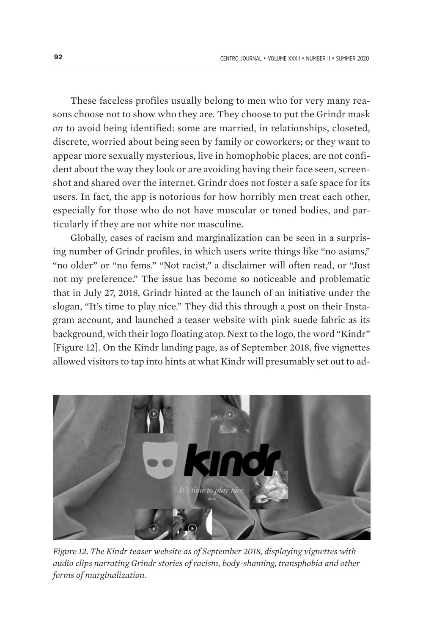These faceless profiles usually belong to men who for very many reasons choose not to show who they are. They choose to put the Grindr mask *on* to avoid being identified: some are married, in relationships, closeted, discrete, worried about being seen by family or coworkers; or they want to appear more sexually mysterious, live in homophobic places, are not confident about the way they look or are avoiding having their face seen, screenshot and shared over the internet. Grindr does not foster a safe space for its users. In fact, the app is notorious for how horribly men treat each other, especially for those who do not have muscular or toned bodies, and particularly if they are not white nor masculine.

Globally, cases of racism and marginalization can be seen in a surprising number of Grindr profiles, in which users write things like "no asians," "no older" or "no fems." "Not racist," a disclaimer will often read, or "Just not my preference." The issue has become so noticeable and problematic that in July 27, 2018, Grindr hinted at the launch of an initiative under the slogan, "It's time to play nice." They did this through a post on their Instagram account, and launched a teaser website with pink suede fabric as its background, with their logo floating atop. Next to the logo, the word "Kindr" [Figure 12]. On the Kindr landing page, as of September 2018, five vignettes allowed visitors to tap into hints at what Kindr will presumably set out to ad-



*Figure 12. The Kindr teaser website as of September 2018, displaying vignettes with audio clips narrating Grindr stories of racism, body-shaming, transphobia and other forms of marginalization.*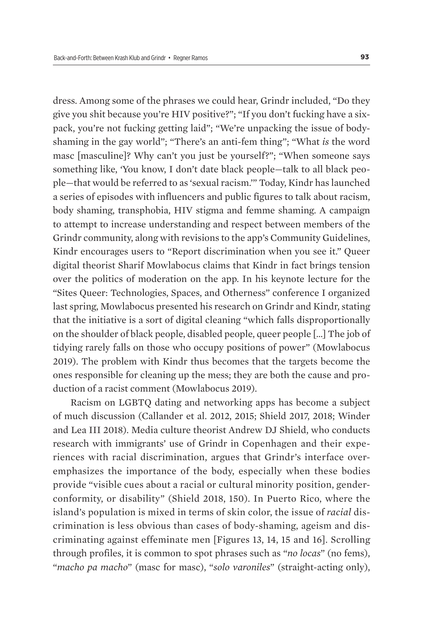dress. Among some of the phrases we could hear, Grindr included, "Do they give you shit because you're HIV positive?"; "If you don't fucking have a sixpack, you're not fucking getting laid"; "We're unpacking the issue of bodyshaming in the gay world"; "There's an anti-fem thing"; "What *is* the word masc [masculine]? Why can't you just be yourself?"; "When someone says something like, 'You know, I don't date black people—talk to all black people—that would be referred to as 'sexual racism.'" Today, Kindr has launched a series of episodes with influencers and public figures to talk about racism, body shaming, transphobia, HIV stigma and femme shaming. A campaign to attempt to increase understanding and respect between members of the Grindr community, along with revisions to the app's Community Guidelines, Kindr encourages users to "Report discrimination when you see it." Queer digital theorist Sharif Mowlabocus claims that Kindr in fact brings tension over the politics of moderation on the app. In his keynote lecture for the "Sites Queer: Technologies, Spaces, and Otherness" conference I organized last spring, Mowlabocus presented his research on Grindr and Kindr, stating that the initiative is a sort of digital cleaning "which falls disproportionally on the shoulder of black people, disabled people, queer people […] The job of tidying rarely falls on those who occupy positions of power" (Mowlabocus 2019). The problem with Kindr thus becomes that the targets become the ones responsible for cleaning up the mess; they are both the cause and production of a racist comment (Mowlabocus 2019).

Racism on LGBTQ dating and networking apps has become a subject of much discussion (Callander et al. 2012, 2015; Shield 2017, 2018; Winder and Lea III 2018). Media culture theorist Andrew DJ Shield, who conducts research with immigrants' use of Grindr in Copenhagen and their experiences with racial discrimination, argues that Grindr's interface overemphasizes the importance of the body, especially when these bodies provide "visible cues about a racial or cultural minority position, genderconformity, or disability" (Shield 2018, 150). In Puerto Rico, where the island's population is mixed in terms of skin color, the issue of *racial* discrimination is less obvious than cases of body-shaming, ageism and discriminating against effeminate men [Figures 13, 14, 15 and 16]. Scrolling through profiles, it is common to spot phrases such as "*no locas*" (no fems), "*macho pa macho*" (masc for masc), "*solo varoniles*" (straight-acting only),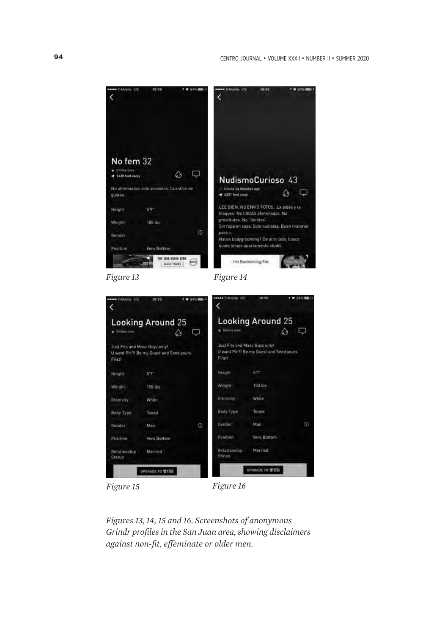



*Figure 15 Figure 16*

*Figures 13, 14, 15 and 16. Screenshots of anonymous Grindr profiles in the San Juan area, showing disclaimers against non-fit, effeminate or older men.*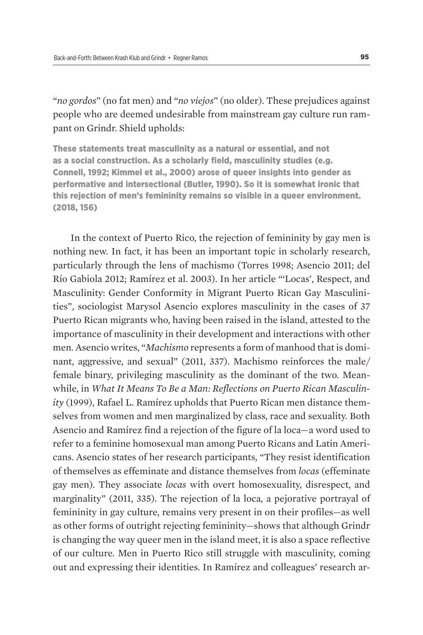"*no gordos*" (no fat men) and "*no viejos*" (no older). These prejudices against people who are deemed undesirable from mainstream gay culture run rampant on Grindr. Shield upholds:

These statements treat masculinity as a natural or essential, and not as a social construction. As a scholarly field, masculinity studies (e.g. Connell, 1992; Kimmel et al., 2000) arose of queer insights into gender as performative and intersectional (Butler, 1990). So it is somewhat ironic that this rejection of men's femininity remains so visible in a queer environment. (2018, 156)

In the context of Puerto Rico, the rejection of femininity by gay men is nothing new. In fact, it has been an important topic in scholarly research, particularly through the lens of machismo (Torres 1998; Asencio 2011; del Río Gabiola 2012; Ramírez et al. 2003). In her article "'Locas', Respect, and Masculinity: Gender Conformity in Migrant Puerto Rican Gay Masculinities", sociologist Marysol Asencio explores masculinity in the cases of 37 Puerto Rican migrants who, having been raised in the island, attested to the importance of masculinity in their development and interactions with other men. Asencio writes, "*Machismo* represents a form of manhood that is dominant, aggressive, and sexual" (2011, 337). Machismo reinforces the male/ female binary, privileging masculinity as the dominant of the two. Meanwhile, in *What It Means To Be a Man: Reflections on Puerto Rican Masculinity* (1999), Rafael L. Ramírez upholds that Puerto Rican men distance themselves from women and men marginalized by class, race and sexuality. Both Asencio and Ramírez find a rejection of the figure of la loca*—*a word used to refer to a feminine homosexual man among Puerto Ricans and Latin Americans. Asencio states of her research participants, "They resist identification of themselves as effeminate and distance themselves from *locas* (effeminate gay men). They associate *locas* with overt homosexuality, disrespect, and marginality" (2011, 335). The rejection of la loca*,* a pejorative portrayal of femininity in gay culture, remains very present in on their profiles—as well as other forms of outright rejecting femininity—shows that although Grindr is changing the way queer men in the island meet, it is also a space reflective of our culture. Men in Puerto Rico still struggle with masculinity, coming out and expressing their identities. In Ramírez and colleagues' research ar-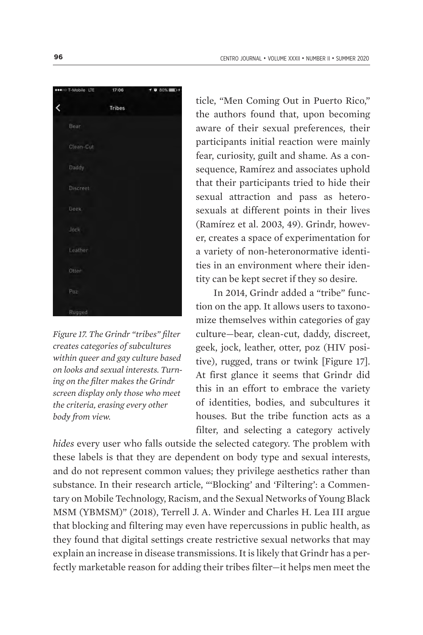|   | <b>***</b> *** I-MODIE LIF | 1/306         | 7080% |  |
|---|----------------------------|---------------|-------|--|
| K |                            | <b>Tribes</b> |       |  |
|   | Bear                       |               |       |  |
|   | Clean-Cut                  |               |       |  |
|   | Daddy                      |               |       |  |
|   | Discreet                   |               |       |  |
|   | Geek                       |               |       |  |
|   | Jock                       |               |       |  |
|   | Leather                    |               |       |  |
|   | Otter                      |               |       |  |
|   | Poz                        |               |       |  |
|   | Rugged                     |               |       |  |

*Figure 17. The Grindr "tribes" filter creates categories of subcultures within queer and gay culture based on looks and sexual interests. Turning on the filter makes the Grindr screen display only those who meet the criteria, erasing every other body from view.*

ticle, "Men Coming Out in Puerto Rico," the authors found that, upon becoming aware of their sexual preferences, their participants initial reaction were mainly fear, curiosity, guilt and shame. As a consequence, Ramírez and associates uphold that their participants tried to hide their sexual attraction and pass as heterosexuals at different points in their lives (Ramírez et al. 2003, 49). Grindr, however, creates a space of experimentation for a variety of non-heteronormative identities in an environment where their identity can be kept secret if they so desire.

In 2014, Grindr added a "tribe" function on the app. It allows users to taxonomize themselves within categories of gay culture—bear, clean-cut, daddy, discreet, geek, jock, leather, otter, poz (HIV positive), rugged, trans or twink [Figure 17]. At first glance it seems that Grindr did this in an effort to embrace the variety of identities, bodies, and subcultures it houses. But the tribe function acts as a filter, and selecting a category actively

*hides* every user who falls outside the selected category. The problem with these labels is that they are dependent on body type and sexual interests, and do not represent common values; they privilege aesthetics rather than substance. In their research article, "'Blocking' and 'Filtering': a Commentary on Mobile Technology, Racism, and the Sexual Networks of Young Black MSM (YBMSM)" (2018), Terrell J. A. Winder and Charles H. Lea III argue that blocking and filtering may even have repercussions in public health, as they found that digital settings create restrictive sexual networks that may explain an increase in disease transmissions. It is likely that Grindr has a perfectly marketable reason for adding their tribes filter—it helps men meet the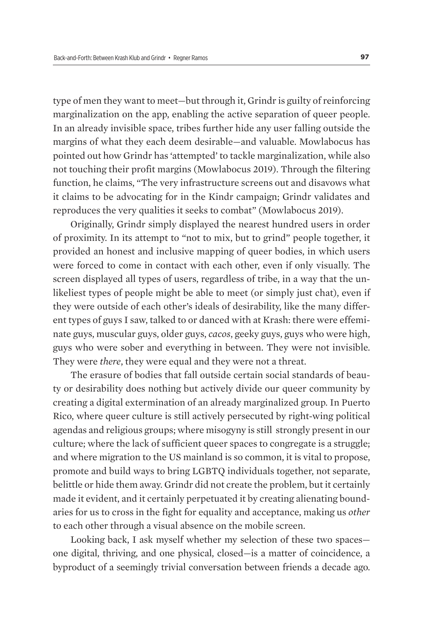type of men they want to meet—but through it, Grindr is guilty of reinforcing marginalization on the app, enabling the active separation of queer people. In an already invisible space, tribes further hide any user falling outside the margins of what they each deem desirable—and valuable. Mowlabocus has pointed out how Grindr has 'attempted' to tackle marginalization, while also not touching their profit margins (Mowlabocus 2019). Through the filtering function, he claims, "The very infrastructure screens out and disavows what it claims to be advocating for in the Kindr campaign; Grindr validates and reproduces the very qualities it seeks to combat" (Mowlabocus 2019).

Originally, Grindr simply displayed the nearest hundred users in order of proximity. In its attempt to "not to mix, but to grind" people together, it provided an honest and inclusive mapping of queer bodies, in which users were forced to come in contact with each other, even if only visually. The screen displayed all types of users, regardless of tribe, in a way that the unlikeliest types of people might be able to meet (or simply just chat), even if they were outside of each other's ideals of desirability, like the many different types of guys I saw, talked to or danced with at Krash: there were effeminate guys, muscular guys, older guys, *cacos*, geeky guys, guys who were high, guys who were sober and everything in between. They were not invisible. They were *there*, they were equal and they were not a threat.

The erasure of bodies that fall outside certain social standards of beauty or desirability does nothing but actively divide our queer community by creating a digital extermination of an already marginalized group. In Puerto Rico, where queer culture is still actively persecuted by right-wing political agendas and religious groups; where misogyny is still strongly present in our culture; where the lack of sufficient queer spaces to congregate is a struggle; and where migration to the US mainland is so common, it is vital to propose, promote and build ways to bring LGBTQ individuals together, not separate, belittle or hide them away. Grindr did not create the problem, but it certainly made it evident, and it certainly perpetuated it by creating alienating boundaries for us to cross in the fight for equality and acceptance, making us *other* to each other through a visual absence on the mobile screen.

Looking back, I ask myself whether my selection of these two spaces one digital, thriving, and one physical, closed—is a matter of coincidence, a byproduct of a seemingly trivial conversation between friends a decade ago.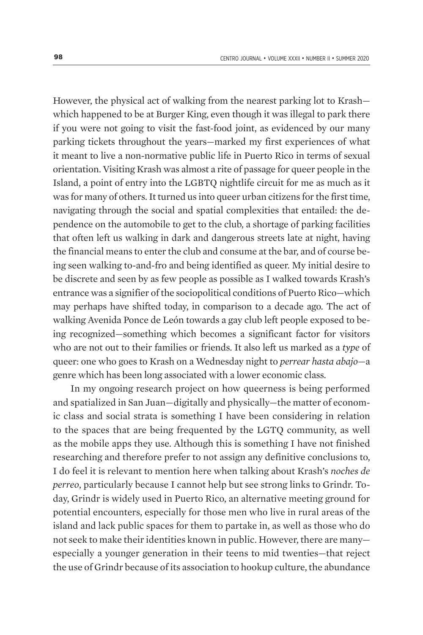However, the physical act of walking from the nearest parking lot to Krash which happened to be at Burger King, even though it was illegal to park there if you were not going to visit the fast-food joint, as evidenced by our many parking tickets throughout the years—marked my first experiences of what it meant to live a non-normative public life in Puerto Rico in terms of sexual orientation. Visiting Krash was almost a rite of passage for queer people in the Island, a point of entry into the LGBTQ nightlife circuit for me as much as it was for many of others. It turned us into queer urban citizens for the first time, navigating through the social and spatial complexities that entailed: the dependence on the automobile to get to the club, a shortage of parking facilities that often left us walking in dark and dangerous streets late at night, having the financial means to enter the club and consume at the bar, and of course being seen walking to-and-fro and being identified as queer. My initial desire to be discrete and seen by as few people as possible as I walked towards Krash's entrance was a signifier of the sociopolitical conditions of Puerto Rico—which may perhaps have shifted today, in comparison to a decade ago. The act of walking Avenida Ponce de León towards a gay club left people exposed to being recognized—something which becomes a significant factor for visitors who are not out to their families or friends. It also left us marked as a *type* of queer: one who goes to Krash on a Wednesday night to *perrear hasta abajo*—a genre which has been long associated with a lower economic class.

In my ongoing research project on how queerness is being performed and spatialized in San Juan—digitally and physically—the matter of economic class and social strata is something I have been considering in relation to the spaces that are being frequented by the LGTQ community, as well as the mobile apps they use. Although this is something I have not finished researching and therefore prefer to not assign any definitive conclusions to, I do feel it is relevant to mention here when talking about Krash's *noches de perreo*, particularly because I cannot help but see strong links to Grindr. Today, Grindr is widely used in Puerto Rico, an alternative meeting ground for potential encounters, especially for those men who live in rural areas of the island and lack public spaces for them to partake in, as well as those who do not seek to make their identities known in public. However, there are many especially a younger generation in their teens to mid twenties—that reject the use of Grindr because of its association to hookup culture, the abundance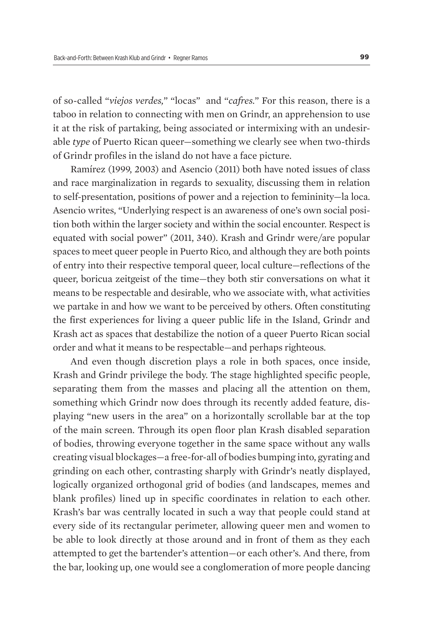of so-called "*viejos verdes,*" "locas" and "*cafres.*" For this reason, there is a taboo in relation to connecting with men on Grindr, an apprehension to use it at the risk of partaking, being associated or intermixing with an undesirable *type* of Puerto Rican queer—something we clearly see when two-thirds of Grindr profiles in the island do not have a face picture.

Ramírez (1999, 2003) and Asencio (2011) both have noted issues of class and race marginalization in regards to sexuality, discussing them in relation to self-presentation, positions of power and a rejection to femininity—la loca. Asencio writes, "Underlying respect is an awareness of one's own social position both within the larger society and within the social encounter. Respect is equated with social power" (2011, 340). Krash and Grindr were/are popular spaces to meet queer people in Puerto Rico, and although they are both points of entry into their respective temporal queer, local culture—reflections of the queer, boricua zeitgeist of the time—they both stir conversations on what it means to be respectable and desirable, who we associate with, what activities we partake in and how we want to be perceived by others. Often constituting the first experiences for living a queer public life in the Island, Grindr and Krash act as spaces that destabilize the notion of a queer Puerto Rican social order and what it means to be respectable—and perhaps righteous.

And even though discretion plays a role in both spaces, once inside, Krash and Grindr privilege the body. The stage highlighted specific people, separating them from the masses and placing all the attention on them, something which Grindr now does through its recently added feature, displaying "new users in the area" on a horizontally scrollable bar at the top of the main screen. Through its open floor plan Krash disabled separation of bodies, throwing everyone together in the same space without any walls creating visual blockages—a free-for-all of bodies bumping into, gyrating and grinding on each other, contrasting sharply with Grindr's neatly displayed, logically organized orthogonal grid of bodies (and landscapes, memes and blank profiles) lined up in specific coordinates in relation to each other. Krash's bar was centrally located in such a way that people could stand at every side of its rectangular perimeter, allowing queer men and women to be able to look directly at those around and in front of them as they each attempted to get the bartender's attention—or each other's. And there, from the bar, looking up, one would see a conglomeration of more people dancing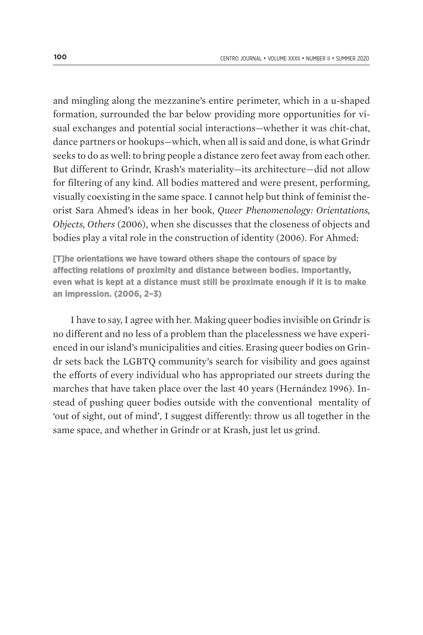and mingling along the mezzanine's entire perimeter, which in a u-shaped formation, surrounded the bar below providing more opportunities for visual exchanges and potential social interactions—whether it was chit-chat, dance partners or hookups—which, when all is said and done, is what Grindr seeks to do as well: to bring people a distance zero feet away from each other. But different to Grindr, Krash's materiality—its architecture—did not allow for filtering of any kind. All bodies mattered and were present, performing, visually coexisting in the same space. I cannot help but think of feminist theorist Sara Ahmed's ideas in her book, *Queer Phenomenology: Orientations, Objects, Others* (2006), when she discusses that the closeness of objects and bodies play a vital role in the construction of identity (2006). For Ahmed:

[T]he orientations we have toward others shape the contours of space by affecting relations of proximity and distance between bodies. Importantly, even what is kept at a distance must still be proximate enough if it is to make an impression. (2006, 2–3)

I have to say, I agree with her. Making queer bodies invisible on Grindr is no different and no less of a problem than the placelessness we have experienced in our island's municipalities and cities. Erasing queer bodies on Grindr sets back the LGBTQ community's search for visibility and goes against the efforts of every individual who has appropriated our streets during the marches that have taken place over the last 40 years (Hernández 1996). Instead of pushing queer bodies outside with the conventional mentality of 'out of sight, out of mind', I suggest differently: throw us all together in the same space, and whether in Grindr or at Krash, just let us grind.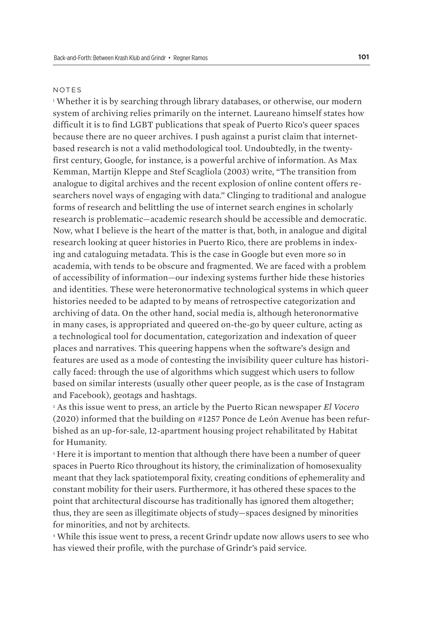### NOTES

1 Whether it is by searching through library databases, or otherwise, our modern system of archiving relies primarily on the internet. Laureano himself states how difficult it is to find LGBT publications that speak of Puerto Rico's queer spaces because there are no queer archives. I push against a purist claim that internetbased research is not a valid methodological tool. Undoubtedly, in the twentyfirst century, Google, for instance, is a powerful archive of information. As Max Kemman, Martijn Kleppe and Stef Scagliola (2003) write, "The transition from analogue to digital archives and the recent explosion of online content offers researchers novel ways of engaging with data." Clinging to traditional and analogue forms of research and belittling the use of internet search engines in scholarly research is problematic—academic research should be accessible and democratic. Now, what I believe is the heart of the matter is that, both, in analogue and digital research looking at queer histories in Puerto Rico, there are problems in indexing and cataloguing metadata. This is the case in Google but even more so in academia, with tends to be obscure and fragmented. We are faced with a problem of accessibility of information—our indexing systems further hide these histories and identities. These were heteronormative technological systems in which queer histories needed to be adapted to by means of retrospective categorization and archiving of data. On the other hand, social media is, although heteronormative in many cases, is appropriated and queered on-the-go by queer culture, acting as a technological tool for documentation, categorization and indexation of queer places and narratives. This queering happens when the software's design and features are used as a mode of contesting the invisibility queer culture has historically faced: through the use of algorithms which suggest which users to follow based on similar interests (usually other queer people, as is the case of Instagram and Facebook), geotags and hashtags.

2 As this issue went to press, an article by the Puerto Rican newspaper *El Vocero* (2020) informed that the building on #1257 Ponce de León Avenue has been refurbished as an up-for-sale, 12-apartment housing project rehabilitated by Habitat for Humanity.

<sup>3</sup> Here it is important to mention that although there have been a number of queer spaces in Puerto Rico throughout its history, the criminalization of homosexuality meant that they lack spatiotemporal fixity, creating conditions of ephemerality and constant mobility for their users. Furthermore, it has othered these spaces to the point that architectural discourse has traditionally has ignored them altogether; thus, they are seen as illegitimate objects of study—spaces designed by minorities for minorities, and not by architects.

4 While this issue went to press, a recent Grindr update now allows users to see who has viewed their profile, with the purchase of Grindr's paid service.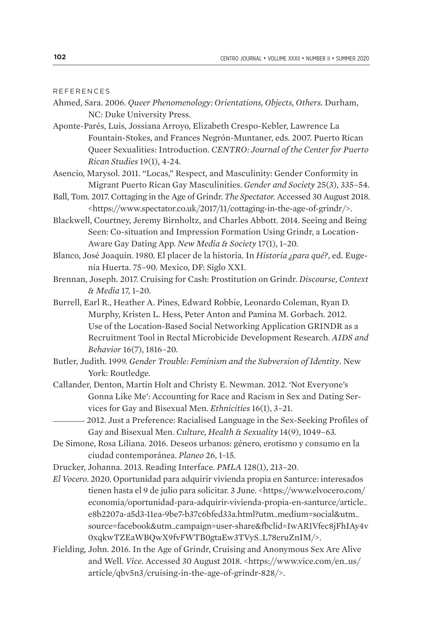REFERENCES

- Ahmed, Sara. 2006. *Queer Phenomenology: Orientations, Objects, Others.* Durham, NC: Duke University Press.
- Aponte-Parés, Luis, Jossiana Arroyo, Elizabeth Crespo-Kebler, Lawrence La Fountain-Stokes, and Frances Negrón-Muntaner, eds. 2007. Puerto Rican Queer Sexualities: Introduction. *CENTRO: Journal of the Center for Puerto Rican Studies* 19(1), 4-24.
- Asencio, Marysol. 2011. "Locas," Respect, and Masculinity: Gender Conformity in Migrant Puerto Rican Gay Masculinities. *Gender and Society* 25(3), 335–54.
- Ball, Tom. 2017. Cottaging in the Age of Grindr. *The Spectator.* Accessed 30 August 2018. <https://www.spectator.co.uk/2017/11/cottaging-in-the-age-of-grindr/>.
- Blackwell, Courtney, Jeremy Birnholtz, and Charles Abbott. 2014. Seeing and Being Seen: Co-situation and Impression Formation Using Grindr, a Location-Aware Gay Dating App. *New Media & Society* 17(1), 1–20.
- Blanco, José Joaquín. 1980. El placer de la historia. In *Historia ¿para qué?*, ed. Eugenia Huerta. 75–90. Mexico, DF: Siglo XXI.
- Brennan, Joseph. 2017. Cruising for Cash: Prostitution on Grindr. *Discourse, Context & Media* 17, 1–20.
- Burrell, Earl R., Heather A. Pines, Edward Robbie, Leonardo Coleman, Ryan D. Murphy, Kristen L. Hess, Peter Anton and Pamina M. Gorbach. 2012. Use of the Location-Based Social Networking Application GRINDR as a Recruitment Tool in Rectal Microbicide Development Research. *AIDS and Behavior* 16(7), 1816–20.
- Butler, Judith. 1999. *Gender Trouble: Feminism and the Subversion of Identity*. New York: Routledge.
- Callander, Denton, Martin Holt and Christy E. Newman. 2012. 'Not Everyone's Gonna Like Me': Accounting for Race and Racism in Sex and Dating Services for Gay and Bisexual Men. *Ethnicities* 16(1), 3–21.
	- \_\_\_\_\_\_\_\_. 2012. Just a Preference: Racialised Language in the Sex-Seeking Profiles of Gay and Bisexual Men. *Culture, Health & Sexuality* 14(9), 1049–63.
- De Simone, Rosa Liliana. 2016. Deseos urbanos: género, erotismo y consumo en la ciudad contemporánea. *Planeo* 26, 1–15.
- Drucker, Johanna. 2013. Reading Interface. *PMLA* 128(1), 213–20.
- *El Vocero*. 2020. Oportunidad para adquirir vivienda propia en Santurce: interesados tienen hasta el 9 de julio para solicitar. 3 June. <https://www.elvocero.com/ economia/oportunidad-para-adquirir-vivienda-propia-en-santurce/article\_ e8b2207a-a5d3-11ea-9be7-b37c6bfed33a.html?utm\_medium=social&utm\_ source=facebook&utm\_campaign=user-share&fbclid=IwAR1Vfec8jFhIAy4v 0xqkwTZEaWBQwX9fvFWTB0gtaEw3TVyS\_L78eruZnIM/>.
- Fielding, John. 2016. In the Age of Grindr, Cruising and Anonymous Sex Are Alive and Well. *Vice.* Accessed 30 August 2018. <https://www.vice.com/en\_us/ article/qbv5n3/cruising-in-the-age-of-grindr-828/>.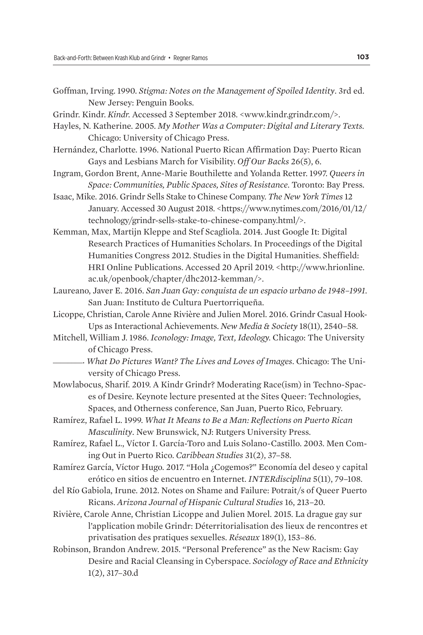- Goffman, Irving. 1990. *Stigma: Notes on the Management of Spoiled Identity*. 3rd ed. New Jersey: Penguin Books.
- Grindr. Kindr. *Kindr.* Accessed 3 September 2018. <www.kindr.grindr.com/>.
- Hayles, N. Katherine. 2005. *My Mother Was a Computer: Digital and Literary Texts.*  Chicago: University of Chicago Press.
- Hernández, Charlotte. 1996. National Puerto Rican Affirmation Day: Puerto Rican Gays and Lesbians March for Visibility. *Off Our Backs* 26(5), 6.
- Ingram, Gordon Brent, Anne-Marie Bouthilette and Yolanda Retter. 1997. *Queers in Space: Communities, Public Spaces, Sites of Resistance.* Toronto: Bay Press.
- Isaac, Mike. 2016. Grindr Sells Stake to Chinese Company. *The New York Times* 12 January. Accessed 30 August 2018. <https://www.nytimes.com/2016/01/12/ technology/grindr-sells-stake-to-chinese-company.html/>.
- Kemman, Max, Martijn Kleppe and Stef Scagliola. 2014. Just Google It: Digital Research Practices of Humanities Scholars. In Proceedings of the Digital Humanities Congress 2012. Studies in the Digital Humanities. Sheffield: HRI Online Publications. Accessed 20 April 2019. <http://www.hrionline. ac.uk/openbook/chapter/dhc2012-kemman/>.
- Laureano, Javer E. 2016. *San Juan Gay: conquista de un espacio urbano de 1948–1991.*  San Juan: Instituto de Cultura Puertorriqueña.
- Licoppe, Christian, Carole Anne Rivière and Julien Morel. 2016. Grindr Casual Hook-Ups as Interactional Achievements. *New Media & Society* 18(11), 2540–58.
- Mitchell, William J. 1986. *Iconology: Image, Text, Ideology.* Chicago: The University of Chicago Press.
	- \_\_\_\_\_\_\_\_. *What Do Pictures Want? The Lives and Loves of Images*. Chicago: The University of Chicago Press.
- Mowlabocus, Sharif. 2019. A Kindr Grindr? Moderating Race(ism) in Techno-Spaces of Desire. Keynote lecture presented at the Sites Queer: Technologies, Spaces, and Otherness conference, San Juan, Puerto Rico, February.
- Ramírez, Rafael L. 1999. *What It Means to Be a Man: Reflections on Puerto Rican Masculinity*. New Brunswick, NJ: Rutgers University Press.
- Ramírez, Rafael L., Víctor I. García-Toro and Luis Solano-Castillo. 2003. Men Coming Out in Puerto Rico. *Caribbean Studies* 31(2), 37–58.
- Ramírez García, Víctor Hugo. 2017. "Hola ¿Cogemos?" Economía del deseo y capital erótico en sitios de encuentro en Internet. *INTERdisciplina* 5(11), 79–108.
- del Río Gabiola, Irune. 2012. Notes on Shame and Failure: Potrait/s of Queer Puerto Ricans. *Arizona Journal of Hispanic Cultural Studies* 16, 213–20.
- Rivière, Carole Anne, Christian Licoppe and Julien Morel. 2015. La drague gay sur l'application mobile Grindr: Déterritorialisation des lieux de rencontres et privatisation des pratiques sexuelles. *Réseaux* 189(1), 153–86.
- Robinson, Brandon Andrew. 2015. "Personal Preference" as the New Racism: Gay Desire and Racial Cleansing in Cyberspace. *Sociology of Race and Ethnicity*  1(2), 317–30.d